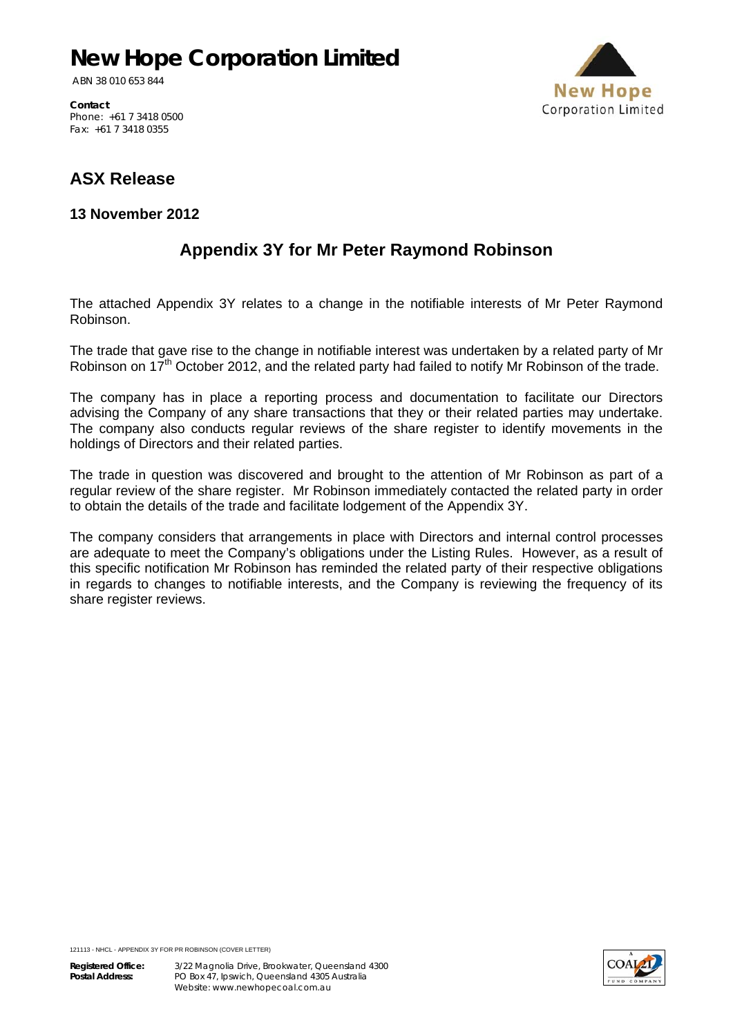# **New Hope Corporation Limited**

ABN 38 010 653 844

**New Hope Corporation Limited** 

**Contact**  Phone: +61 7 3418 0500 Fax: +61 7 3418 0355

### **ASX Release**

**13 November 2012**

#### **Appendix 3Y for Mr Peter Raymond Robinson**

The attached Appendix 3Y relates to a change in the notifiable interests of Mr Peter Raymond Robinson.

The trade that gave rise to the change in notifiable interest was undertaken by a related party of Mr Robinson on 17<sup>th</sup> October 2012, and the related party had failed to notify Mr Robinson of the trade.

The company has in place a reporting process and documentation to facilitate our Directors advising the Company of any share transactions that they or their related parties may undertake. The company also conducts regular reviews of the share register to identify movements in the holdings of Directors and their related parties.

The trade in question was discovered and brought to the attention of Mr Robinson as part of a regular review of the share register. Mr Robinson immediately contacted the related party in order to obtain the details of the trade and facilitate lodgement of the Appendix 3Y.

The company considers that arrangements in place with Directors and internal control processes are adequate to meet the Company's obligations under the Listing Rules. However, as a result of this specific notification Mr Robinson has reminded the related party of their respective obligations in regards to changes to notifiable interests, and the Company is reviewing the frequency of its share register reviews.

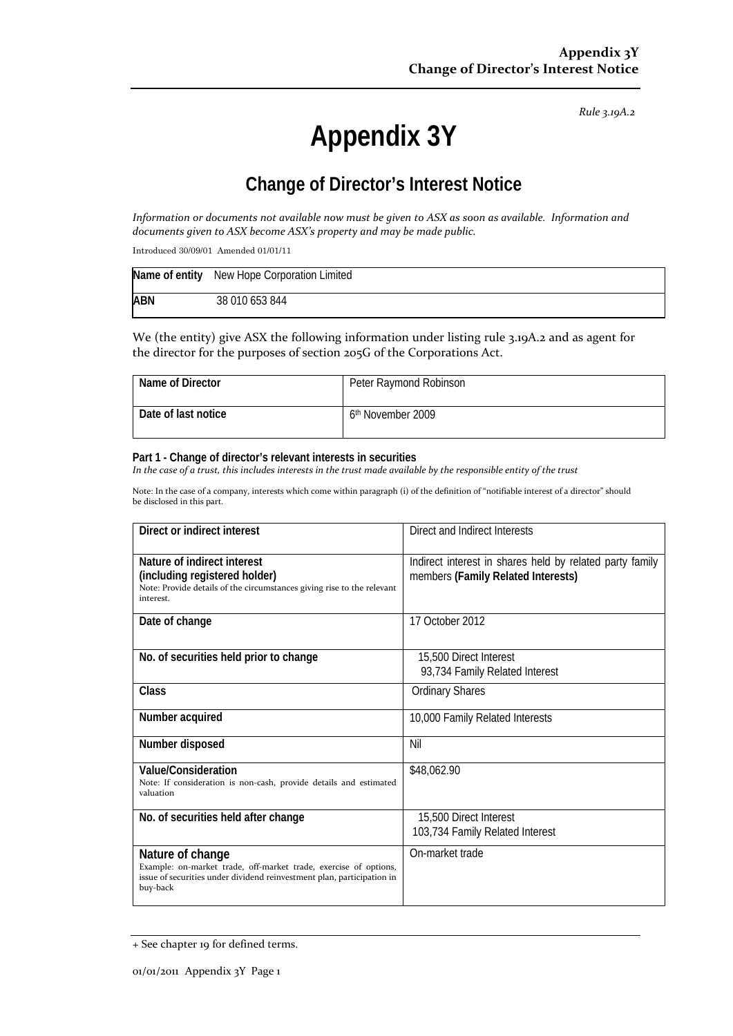*Rule 3.19A.2*

# **Appendix 3Y**

## **Change of Director's Interest Notice**

Information or documents not available now must be given to ASX as soon as available. Information and *documents given to ASX become ASX's property and may be made public.*

Introduced 30/09/01 Amended 01/01/11

|            | Name of entity New Hope Corporation Limited |
|------------|---------------------------------------------|
| <b>ABN</b> | 38 010 653 844                              |

We (the entity) give ASX the following information under listing rule 3.19A.2 and as agent for the director for the purposes of section 205G of the Corporations Act.

| Name of Director    | Peter Raymond Robinson        |
|---------------------|-------------------------------|
| Date of last notice | 6 <sup>th</sup> November 2009 |

#### **Part 1 - Change of director's relevant interests in securities**

In the case of a trust, this includes interests in the trust made available by the responsible entity of the trust

Note: In the case of a company, interests which come within paragraph (i) of the definition of "notifiable interest of a director" should be disclosed in this part.

| Direct or indirect interest                                                                                                                                                | Direct and Indirect Interests                                                                  |  |
|----------------------------------------------------------------------------------------------------------------------------------------------------------------------------|------------------------------------------------------------------------------------------------|--|
| Nature of indirect interest<br>(including registered holder)<br>Note: Provide details of the circumstances giving rise to the relevant<br>interest.                        | Indirect interest in shares held by related party family<br>members (Family Related Interests) |  |
| Date of change                                                                                                                                                             | 17 October 2012                                                                                |  |
| No. of securities held prior to change                                                                                                                                     | 15,500 Direct Interest<br>93,734 Family Related Interest                                       |  |
| Class                                                                                                                                                                      | <b>Ordinary Shares</b>                                                                         |  |
| Number acquired                                                                                                                                                            | 10,000 Family Related Interests                                                                |  |
| Number disposed                                                                                                                                                            | Nil                                                                                            |  |
| <b>Value/Consideration</b><br>Note: If consideration is non-cash, provide details and estimated<br>valuation                                                               | \$48,062.90                                                                                    |  |
| No. of securities held after change                                                                                                                                        | 15,500 Direct Interest<br>103,734 Family Related Interest                                      |  |
| Nature of change<br>Example: on-market trade, off-market trade, exercise of options,<br>issue of securities under dividend reinvestment plan, participation in<br>buy-back | On-market trade                                                                                |  |

<sup>+</sup> See chapter 19 for defined terms.